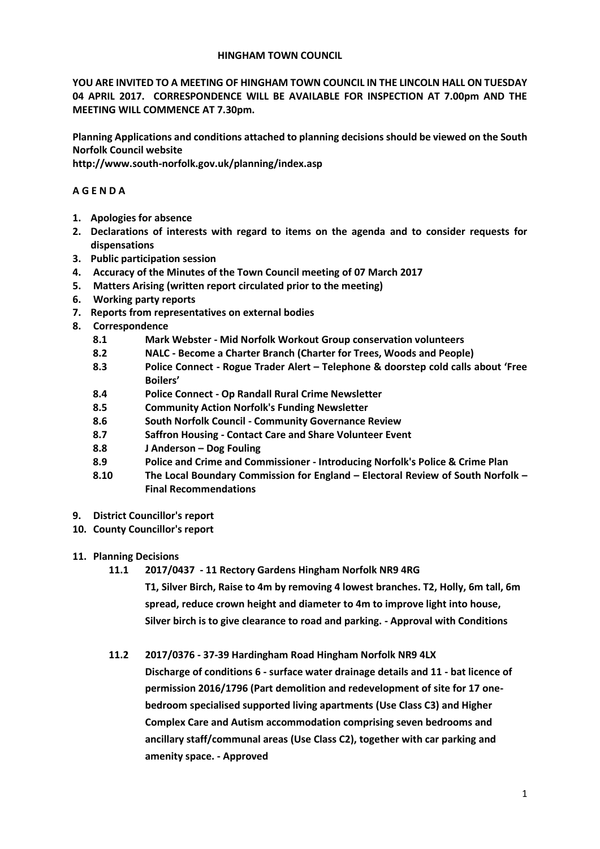#### **HINGHAM TOWN COUNCIL**

**YOU ARE INVITED TO A MEETING OF HINGHAM TOWN COUNCIL IN THE LINCOLN HALL ON TUESDAY 04 APRIL 2017. CORRESPONDENCE WILL BE AVAILABLE FOR INSPECTION AT 7.00pm AND THE MEETING WILL COMMENCE AT 7.30pm.** 

**Planning Applications and conditions attached to planning decisions should be viewed on the South Norfolk Council website** 

**http://www.south-norfolk.gov.uk/planning/index.asp**

## **A G E N D A**

- **1. Apologies for absence**
- **2. Declarations of interests with regard to items on the agenda and to consider requests for dispensations**
- **3. Public participation session**
- **4. Accuracy of the Minutes of the Town Council meeting of 07 March 2017**
- **5. Matters Arising (written report circulated prior to the meeting)**
- **6. Working party reports**
- **7. Reports from representatives on external bodies**
- **8. Correspondence** 
	- **8.1 Mark Webster - Mid Norfolk Workout Group conservation volunteers**
	- **8.2 NALC - Become a Charter Branch (Charter for Trees, Woods and People)**
	- **8.3 Police Connect - Rogue Trader Alert – Telephone & doorstep cold calls about 'Free Boilers'**
	- **8.4 Police Connect - Op Randall Rural Crime Newsletter**
	- **8.5 Community Action Norfolk's Funding Newsletter**
	- **8.6 South Norfolk Council - Community Governance Review**
	- **8.7 Saffron Housing - Contact Care and Share Volunteer Event**
	- **8.8 J Anderson – Dog Fouling**
	- **8.9 Police and Crime and Commissioner - Introducing Norfolk's Police & Crime Plan**
	- **8.10 The Local Boundary Commission for England – Electoral Review of South Norfolk – Final Recommendations**
- **9. District Councillor's report**
- **10. County Councillor's report**
- **11. Planning Decisions**
	- **11.1 2017/0437 - 11 Rectory Gardens Hingham Norfolk NR9 4RG**
		- **T1, Silver Birch, Raise to 4m by removing 4 lowest branches. T2, Holly, 6m tall, 6m spread, reduce crown height and diameter to 4m to improve light into house, Silver birch is to give clearance to road and parking. - Approval with Conditions**
	- **11.2 2017/0376 - 37-39 Hardingham Road Hingham Norfolk NR9 4LX**
		- **Discharge of conditions 6 - surface water drainage details and 11 - bat licence of permission 2016/1796 (Part demolition and redevelopment of site for 17 onebedroom specialised supported living apartments (Use Class C3) and Higher Complex Care and Autism accommodation comprising seven bedrooms and ancillary staff/communal areas (Use Class C2), together with car parking and amenity space. - Approved**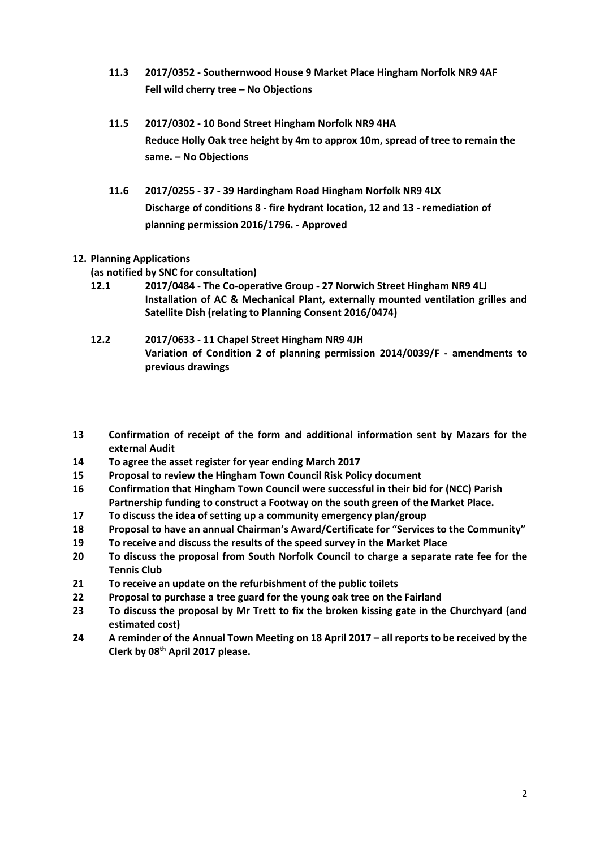- **11.3 2017/0352 - Southernwood House 9 Market Place Hingham Norfolk NR9 4AF Fell wild cherry tree – No Objections**
- **11.5 2017/0302 - 10 Bond Street Hingham Norfolk NR9 4HA Reduce Holly Oak tree height by 4m to approx 10m, spread of tree to remain the same. – No Objections**
- **11.6 2017/0255 - 37 - 39 Hardingham Road Hingham Norfolk NR9 4LX Discharge of conditions 8 - fire hydrant location, 12 and 13 - remediation of planning permission 2016/1796. - Approved**

# **12. Planning Applications**

**(as notified by SNC for consultation)**

- **12.1 2017/0484 - The Co-operative Group - 27 Norwich Street Hingham NR9 4LJ Installation of AC & Mechanical Plant, externally mounted ventilation grilles and Satellite Dish (relating to Planning Consent 2016/0474)**
- **12.2 2017/0633 - 11 Chapel Street Hingham NR9 4JH Variation of Condition 2 of planning permission 2014/0039/F - amendments to previous drawings**
- **13 Confirmation of receipt of the form and additional information sent by Mazars for the external Audit**
- **14 To agree the asset register for year ending March 2017**
- **15 Proposal to review the Hingham Town Council Risk Policy document**
- **16 Confirmation that Hingham Town Council were successful in their bid for (NCC) Parish Partnership funding to construct a Footway on the south green of the Market Place.**
- **17 To discuss the idea of setting up a community emergency plan/group**
- **18 Proposal to have an annual Chairman's Award/Certificate for "Services to the Community"**
- **19 To receive and discuss the results of the speed survey in the Market Place**
- **20 To discuss the proposal from South Norfolk Council to charge a separate rate fee for the Tennis Club**
- **21 To receive an update on the refurbishment of the public toilets**
- **22 Proposal to purchase a tree guard for the young oak tree on the Fairland**
- **23 To discuss the proposal by Mr Trett to fix the broken kissing gate in the Churchyard (and estimated cost)**
- **24 A reminder of the Annual Town Meeting on 18 April 2017 – all reports to be received by the Clerk by 08th April 2017 please.**